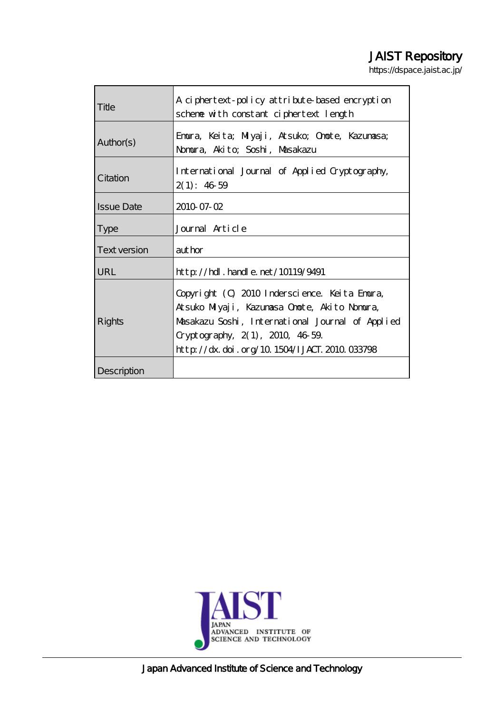## JAIST Repository

https://dspace.jaist.ac.jp/

| Title               | A ciphertext-policy attribute-based encryption   |  |  |
|---------------------|--------------------------------------------------|--|--|
|                     | scheme with constant ciphertext length           |  |  |
| Author(s)           | Emoura, Keita; Milyaji, Atsuko; Onote, Kazumasa; |  |  |
|                     | Nomura, Akito, Soshi, Masakazu                   |  |  |
|                     |                                                  |  |  |
| Citation            | International Journal of Applied Cryptography,   |  |  |
|                     | 2(1): 4659                                       |  |  |
| <b>Issue Date</b>   | 2010 07-02                                       |  |  |
| <b>Type</b>         | Journal Article                                  |  |  |
|                     |                                                  |  |  |
| <b>Text version</b> | author                                           |  |  |
| URL                 | $http$ // $hdl$ . handle. net/10119/9491         |  |  |
| Rights              | Copyright (C) 2010 Inderscience. Keita Emura,    |  |  |
|                     | Atsuko Milyaji, Kazumasa Onote, Akito Nomura,    |  |  |
|                     | Masakazu Soshi, International Journal of Applied |  |  |
|                     | Cryptography, $2(1)$ , $2010$ , $4659$           |  |  |
|                     | http://dx.doi.org/10.1504/IJACT.2010.033798      |  |  |
| Description         |                                                  |  |  |



Japan Advanced Institute of Science and Technology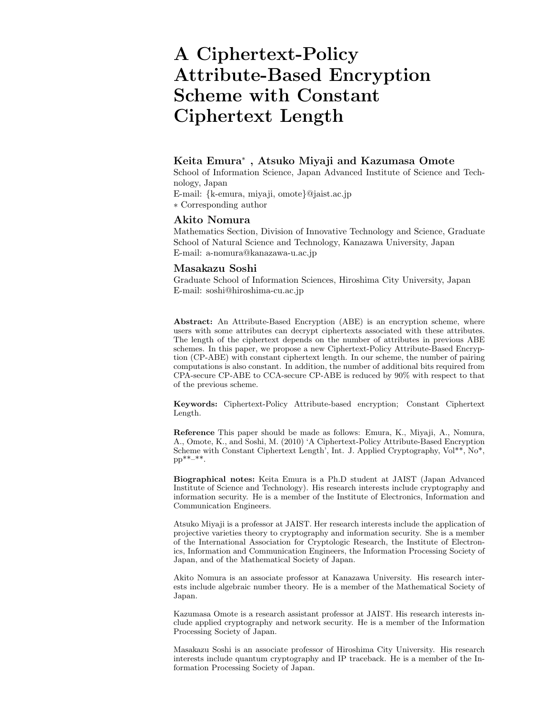# **A Ciphertext-Policy Attribute-Based Encryption Scheme with Constant Ciphertext Length**

## **Keita Emura**<sup>∗</sup> **, Atsuko Miyaji and Kazumasa Omote**

School of Information Science, Japan Advanced Institute of Science and Technology, Japan

E-mail: {k-emura, miyaji, omote}@jaist.ac.jp

∗ Corresponding author

## **Akito Nomura**

Mathematics Section, Division of Innovative Technology and Science, Graduate School of Natural Science and Technology, Kanazawa University, Japan E-mail: a-nomura@kanazawa-u.ac.jp

## **Masakazu Soshi**

Graduate School of Information Sciences, Hiroshima City University, Japan E-mail: soshi@hiroshima-cu.ac.jp

**Abstract:** An Attribute-Based Encryption (ABE) is an encryption scheme, where users with some attributes can decrypt ciphertexts associated with these attributes. The length of the ciphertext depends on the number of attributes in previous ABE schemes. In this paper, we propose a new Ciphertext-Policy Attribute-Based Encryption (CP-ABE) with constant ciphertext length. In our scheme, the number of pairing computations is also constant. In addition, the number of additional bits required from CPA-secure CP-ABE to CCA-secure CP-ABE is reduced by 90% with respect to that of the previous scheme.

**Keywords:** Ciphertext-Policy Attribute-based encryption; Constant Ciphertext Length.

**Reference** This paper should be made as follows: Emura, K., Miyaji, A., Nomura, A., Omote, K., and Soshi, M. (2010) 'A Ciphertext-Policy Attribute-Based Encryption Scheme with Constant Ciphertext Length', Int. J. Applied Cryptography, Vol\*\*, No\*,  $pp^{**-**}.$ 

**Biographical notes:** Keita Emura is a Ph.D student at JAIST (Japan Advanced Institute of Science and Technology). His research interests include cryptography and information security. He is a member of the Institute of Electronics, Information and Communication Engineers.

Atsuko Miyaji is a professor at JAIST. Her research interests include the application of projective varieties theory to cryptography and information security. She is a member of the International Association for Cryptologic Research, the Institute of Electronics, Information and Communication Engineers, the Information Processing Society of Japan, and of the Mathematical Society of Japan.

Akito Nomura is an associate professor at Kanazawa University. His research interests include algebraic number theory. He is a member of the Mathematical Society of Japan.

Kazumasa Omote is a research assistant professor at JAIST. His research interests include applied cryptography and network security. He is a member of the Information Processing Society of Japan.

Masakazu Soshi is an associate professor of Hiroshima City University. His research interests include quantum cryptography and IP traceback. He is a member of the Information Processing Society of Japan.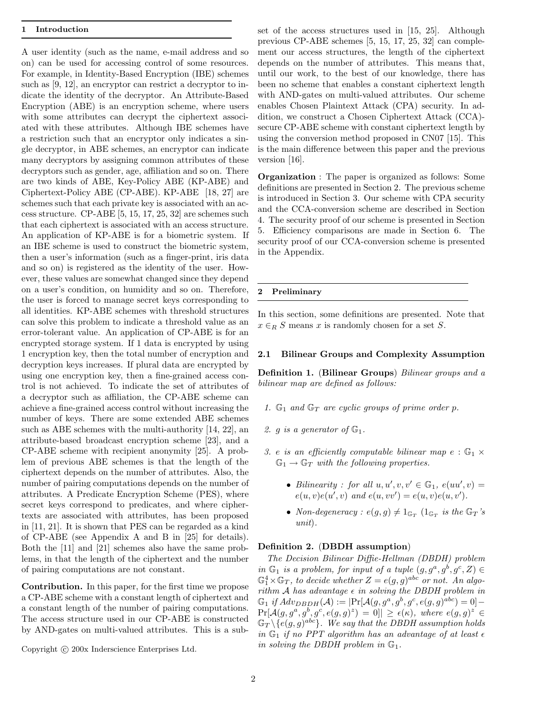#### **1 Introduction**

A user identity (such as the name, e-mail address and so on) can be used for accessing control of some resources. For example, in Identity-Based Encryption (IBE) schemes such as [9, 12], an encryptor can restrict a decryptor to indicate the identity of the decryptor. An Attribute-Based Encryption (ABE) is an encryption scheme, where users with some attributes can decrypt the ciphertext associated with these attributes. Although IBE schemes have a restriction such that an encryptor only indicates a single decryptor, in ABE schemes, an encryptor can indicate many decryptors by assigning common attributes of these decryptors such as gender, age, affiliation and so on. There are two kinds of ABE, Key-Policy ABE (KP-ABE) and Ciphertext-Policy ABE (CP-ABE). KP-ABE [18, 27] are schemes such that each private key is associated with an access structure. CP-ABE [5, 15, 17, 25, 32] are schemes such that each ciphertext is associated with an access structure. An application of KP-ABE is for a biometric system. If an IBE scheme is used to construct the biometric system, then a user's information (such as a finger-print, iris data and so on) is registered as the identity of the user. However, these values are somewhat changed since they depend on a user's condition, on humidity and so on. Therefore, the user is forced to manage secret keys corresponding to all identities. KP-ABE schemes with threshold structures can solve this problem to indicate a threshold value as an error-tolerant value. An application of CP-ABE is for an encrypted storage system. If 1 data is encrypted by using 1 encryption key, then the total number of encryption and decryption keys increases. If plural data are encrypted by using one encryption key, then a fine-grained access control is not achieved. To indicate the set of attributes of a decryptor such as affiliation, the CP-ABE scheme can achieve a fine-grained access control without increasing the number of keys. There are some extended ABE schemes such as ABE schemes with the multi-authority [14, 22], an attribute-based broadcast encryption scheme [23], and a CP-ABE scheme with recipient anonymity [25]. A problem of previous ABE schemes is that the length of the ciphertext depends on the number of attributes. Also, the number of pairing computations depends on the number of attributes. A Predicate Encryption Scheme (PES), where secret keys correspond to predicates, and where ciphertexts are associated with attributes, has been proposed in [11, 21]. It is shown that PES can be regarded as a kind of CP-ABE (see Appendix A and B in [25] for details). Both the [11] and [21] schemes also have the same problems, in that the length of the ciphertext and the number of pairing computations are not constant.

**Contribution.** In this paper, for the first time we propose a CP-ABE scheme with a constant length of ciphertext and a constant length of the number of pairing computations. The access structure used in our CP-ABE is constructed by AND-gates on multi-valued attributes. This is a sub-

Copyright  $\odot$  200x Inderscience Enterprises Ltd.

set of the access structures used in [15, 25]. Although previous CP-ABE schemes [5, 15, 17, 25, 32] can complement our access structures, the length of the ciphertext depends on the number of attributes. This means that, until our work, to the best of our knowledge, there has been no scheme that enables a constant ciphertext length with AND-gates on multi-valued attributes. Our scheme enables Chosen Plaintext Attack (CPA) security. In addition, we construct a Chosen Ciphertext Attack (CCA) secure CP-ABE scheme with constant ciphertext length by using the conversion method proposed in CN07 [15]. This is the main difference between this paper and the previous version [16].

**Organization** : The paper is organized as follows: Some definitions are presented in Section 2. The previous scheme is introduced in Section 3. Our scheme with CPA security and the CCA-conversion scheme are described in Section 4. The security proof of our scheme is presented in Section 5. Efficiency comparisons are made in Section 6. The security proof of our CCA-conversion scheme is presented in the Appendix.

#### **2 Preliminary**

In this section, some definitions are presented. Note that  $x \in_R S$  means x is randomly chosen for a set S.

#### **2.1 Bilinear Groups and Complexity Assumption**

**Definition 1.** (**Bilinear Groups**) *Bilinear groups and a bilinear map are defined as follows:*

- *1.*  $\mathbb{G}_1$  *and*  $\mathbb{G}_T$  *are cyclic groups of prime order p.*
- 2. g *is a generator of*  $\mathbb{G}_1$ .
- *3.* e *is an efficiently computable bilinear map*  $e : \mathbb{G}_1 \times$  $\mathbb{G}_1 \rightarrow \mathbb{G}_T$  *with the following properties.* 
	- *Bilinearity : for all*  $u, u', v, v' \in \mathbb{G}_1$ ,  $e(uu', v) =$  $e(u, v)e(u', v)$  and  $e(u, vv') = e(u, v)e(u, v')$ .
	- *Non-degeneracy* :  $e(g, g) \neq 1_{\mathbb{G}_T} (1_{\mathbb{G}_T} \text{ is the } \mathbb{G}_T \text{'s})$ *unit*)*.*

#### **Definition 2.** (**DBDH assumption**)

*The Decision Bilinear Diffie-Hellman (DBDH) problem in*  $\mathbb{G}_1$  *is a problem, for input of a tuple*  $(g, g^a, g^b, g^c, Z) \in$  $\mathbb{G}_1^4 \times \mathbb{G}_T$ , to decide whether  $Z = e(g, g)^{abc}$  or not. An algo-<br>with  $\mathbb{G}_1^a$  has a cluster of in a ships the DPDH angles in *rithm* A has advantage  $\epsilon$  in solving the DBDH problem in  $\mathbb{G}_1$  *if*  $Adv_{DBDH}(\mathcal{A}) := |\Pr[\mathcal{A}(g, g^a, g^b, g^c, e(g, g)^{abc})] = 0$  $Pr[\mathcal{A}(g, g^a, g^b, g^c, e(g, g)^z) = 0] \ge \epsilon(\kappa)$ , where  $e(g, g)^z \in$  $\mathbb{G}_T \setminus \{e(g, g)^{abc}\}.$  We say that the DBDH assumption holds *in*  $\mathbb{G}_1$  *if no PPT algorithm has an advantage of at least*  $\epsilon$ *in solving the DBDH problem in*  $\mathbb{G}_1$ *.*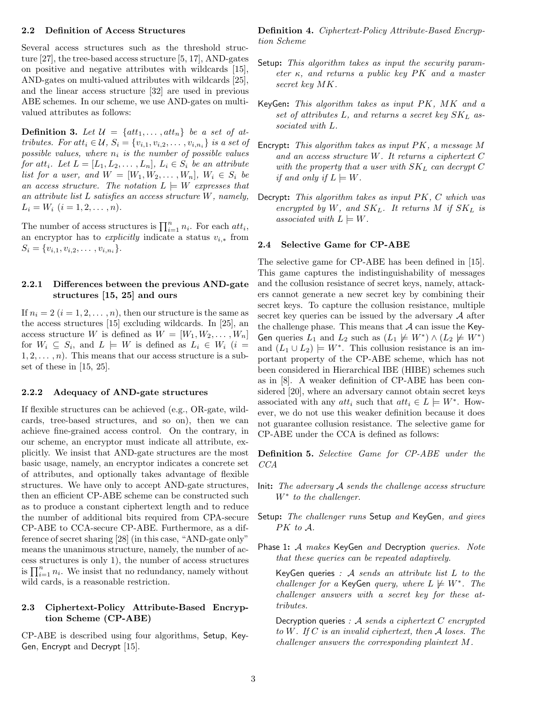#### **2.2 Definition of Access Structures**

Several access structures such as the threshold structure [27], the tree-based access structure [5, 17], AND-gates on positive and negative attributes with wildcards [15], AND-gates on multi-valued attributes with wildcards [25], and the linear access structure [32] are used in previous ABE schemes. In our scheme, we use AND-gates on multivalued attributes as follows:

**Definition 3.** Let  $\mathcal{U} = \{att_1, \ldots, att_n\}$  be a set of at*tributes. For att*<sub>i</sub>  $\in \mathcal{U}$ ,  $S_i = \{v_{i,1}, v_{i,2}, \ldots, v_{i,n_i}\}$  *is a set of*  $possible$  *values, where*  $n_i$  *is the number of possible values for* att<sub>i</sub>. Let  $L = [L_1, L_2, \ldots, L_n]$ ,  $L_i \in S_i$  *be an attribute list for a user, and*  $W = [W_1, W_2, \dots, W_n]$ ,  $W_i \in S_i$  be *an access structure. The notation*  $L \models W$  *expresses that an attribute list* L *satisfies an access structure* W*, namely,*  $L_i = W_i$   $(i = 1, 2, \ldots, n)$ .

The number of access structures is  $\prod_{i=1}^{n} n_i$ . For each *att<sub>i</sub>*, an encryptor has to *explicitly indicate* a status *y* from an encryptor has to *explicitly* indicate a status  $v_{i,*}$  from  $S_i = \{v_{i,1}, v_{i,2}, \ldots, v_{i,n_i}\}.$ 

## **2.2.1 Differences between the previous AND-gate structures [15, 25] and ours**

If  $n_i = 2$   $(i = 1, 2, \ldots, n)$ , then our structure is the same as the access structures [15] excluding wildcards. In [25], an access structure W is defined as  $W = [W_1, W_2, \dots, W_n]$ for  $W_i \subseteq S_i$ , and  $L \models W$  is defined as  $L_i \in W_i$  (i =  $1, 2, \ldots, n$ . This means that our access structure is a subset of these in [15, 25].

#### **2.2.2 Adequacy of AND-gate structures**

If flexible structures can be achieved (e.g., OR-gate, wildcards, tree-based structures, and so on), then we can achieve fine-grained access control. On the contrary, in our scheme, an encryptor must indicate all attribute, explicitly. We insist that AND-gate structures are the most basic usage, namely, an encryptor indicates a concrete set of attributes, and optionally takes advantage of flexible structures. We have only to accept AND-gate structures, then an efficient CP-ABE scheme can be constructed such as to produce a constant ciphertext length and to reduce the number of additional bits required from CPA-secure CP-ABE to CCA-secure CP-ABE. Furthermore, as a difference of secret sharing [28] (in this case, "AND-gate only" means the unanimous structure, namely, the number of access structures is only 1), the number of access structures is  $\prod_{i=1}^{n} n_i$ . We insist that no redundancy, namely without wild cards, is a reasonable restriction.

## **2.3 Ciphertext-Policy Attribute-Based Encryption Scheme (CP-ABE)**

CP-ABE is described using four algorithms, Setup, Key-Gen, Encrypt and Decrypt [15].

**Definition 4.** *Ciphertext-Policy Attribute-Based Encryption Scheme*

- Setup**:** *This algorithm takes as input the security parameter* κ*, and returns a public key* PK *and a master secret key* MK*.*
- KeyGen**:** *This algorithm takes as input* PK*,* MK *and a set of attributes* <sup>L</sup>*, and returns a secret key* SKL *associated with* L*.*
- Encrypt**:** *This algorithm takes as input* PK*, a message* <sup>M</sup> *and an access structure* W*. It returns a ciphertext* C *with the property that a user with* SKL *can decrypt* <sup>C</sup> *if and only if*  $L \models W$ .
- Decrypt**:** *This algorithm takes as input* PK*,* <sup>C</sup> *which was encrypted by*  $W$ *, and*  $SK_L$ *. It returns*  $M$  *if*  $SK_L$  *is associated with*  $L \models W$ .

## **2.4 Selective Game for CP-ABE**

The selective game for CP-ABE has been defined in [15]. This game captures the indistinguishability of messages and the collusion resistance of secret keys, namely, attackers cannot generate a new secret key by combining their secret keys. To capture the collusion resistance, multiple secret key queries can be issued by the adversary  $A$  after the challenge phase. This means that  $A$  can issue the Key-Gen queries  $L_1$  and  $L_2$  such as  $(L_1 \not\models W^*) \wedge (L_2 \not\models W^*)$ and  $(L_1 \cup L_2) \models W^*$ . This collusion resistance is an important property of the CP-ABE scheme, which has not been considered in Hierarchical IBE (HIBE) schemes such as in [8]. A weaker definition of CP-ABE has been considered [20], where an adversary cannot obtain secret keys associated with any  $att_i$  such that  $att_i \in L \models W^*$ . However, we do not use this weaker definition because it does not guarantee collusion resistance. The selective game for CP-ABE under the CCA is defined as follows:

**Definition 5.** *Selective Game for CP-ABE under the CCA*

- Init**:** *The adversary* <sup>A</sup> *sends the challenge access structure* W<sup>∗</sup> *to the challenger.*
- Setup**:** *The challenger runs* Setup *and* KeyGen*, and gives* PK *to* A*.*
- Phase 1**:** <sup>A</sup> *makes* KeyGen *and* Decryption *queries. Note that these queries can be repeated adaptively.*

KeyGen queries *:* <sup>A</sup> *sends an attribute list* <sup>L</sup> *to the challenger for a* KeyGen *query, where*  $L \not\models W^*$ . The *challenger answers with a secret key for these attributes.*

Decryption queries *:* <sup>A</sup> *sends a ciphertext* <sup>C</sup> *encrypted to* W*. If* C *is an invalid ciphertext, then* A *loses. The challenger answers the corresponding plaintext* M*.*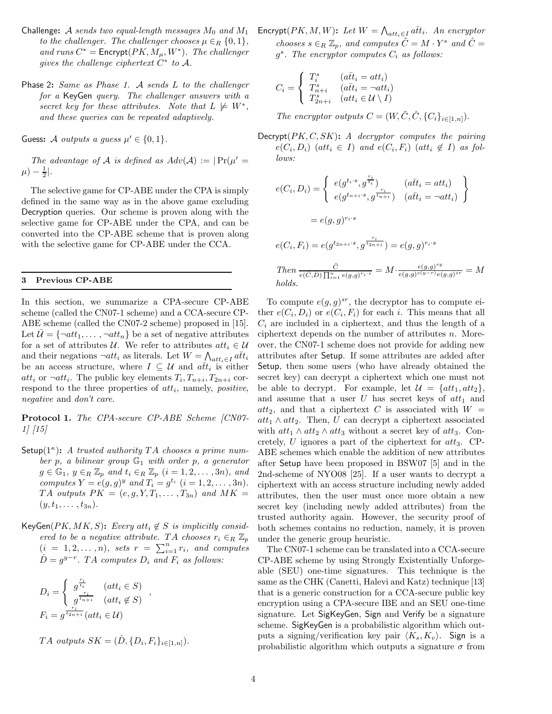- Challenge: A *sends two equal-length messages*  $M_0$  *and*  $M_1$ *to the challenger. The challenger chooses*  $\mu \in_R \{0, 1\}$ , *and runs*  $C^* =$  **Encrypt** $(PK, M_\mu, W^*)$ *. The challenger gives the challenge ciphertext*  $C^*$  *to*  $\mathcal{A}$ *.*
- Phase 2**:** *Same as Phase 1.* <sup>A</sup> *sends* <sup>L</sup> *to the challenger for a* KeyGen *query. The challenger answers with a secret key for these attributes.* Note that  $L \not\models W^*$ , *and these queries can be repeated adaptively.*

Guess: A *outputs a guess*  $\mu' \in \{0, 1\}$ .

*The advantage of* A *is defined as*  $Adv(A) := |Pr(\mu'|)$  $(\mu) - \frac{1}{2}$ |.

The selective game for CP-ABE under the CPA is simply defined in the same way as in the above game excluding Decryption queries. Our scheme is proven along with the selective game for CP-ABE under the CPA, and can be converted into the CP-ABE scheme that is proven along with the selective game for CP-ABE under the CCA.

#### **3 Previous CP-ABE**

In this section, we summarize a CPA-secure CP-ABE scheme (called the CN07-1 scheme) and a CCA-secure CP-ABE scheme (called the CN07-2 scheme) proposed in [15]. Let  $\mathcal{U} = \{\neg att_1, \ldots, \neg att_n\}$  be a set of negative attributes for a set of attributes U. We refer to attributes  $att_i \in U$ and their negations  $\neg att_i$  as literals. Let  $W = \bigwedge_{att_i \in I} a \overline{t} t_i$  has an access structure, where  $I \subseteq \mathcal{U}$  and  $a \overline{t} t_i$  is either be an access structure, where  $I \subseteq \mathcal{U}$  and  $a\overline{t}t_i$  is either att<sub>i</sub> or  $\neg$ att<sub>i</sub>. The public key elements  $T_i, T_{n+i}, T_{2n+i}$  correspond to the three properties of  $att_i$ , namely, *positive*, *negative* and *don't care*.

**Protocol 1.** *The CPA-secure CP-ABE Scheme [CN07- 1] [15]*

- Setup( $1^{\kappa}$ ): *A trusted authority* TA *chooses a prime number* p*, a bilinear group* G<sup>1</sup> *with order* p*, a generator*  $g \in \mathbb{G}_1$ *,*  $y \in_R \mathbb{Z}_p$  *and*  $t_i \in_R \mathbb{Z}_p$   $(i = 1, 2, \ldots, 3n)$ *, and computes*  $Y = e(g, g)^y$  *and*  $T_i = g^{t_i}$   $(i = 1, 2, ..., 3n)$ *.* TA *outputs*  $PK = (e, g, Y, T_1, \ldots, T_{3n})$  and  $MK =$  $(y, t_1, \ldots, t_{3n}).$
- KeyGen $(PK, MK, S)$ : *Every* att<sub>i</sub>  $\notin S$  *is implicitly considered to be a negative attribute.* TA *chooses*  $r_i \in R \mathbb{Z}_p$  $(i = 1, 2, ..., n)$ , sets  $r = \sum_{i=1}^{n} r_i$ , and computes  $\hat{D} = g^{y-r}$ . TA computes  $D_i$  and  $F_i$  as follows:

$$
D_i = \begin{cases} g^{\frac{r_i}{t_i}} & (att_i \in S) \\ g^{\frac{r_i}{t_{n+i}}} & (att_i \notin S) \end{cases},
$$
  

$$
F_i = g^{\frac{r_i}{t_{2n+i}}} (att_i \in \mathcal{U})
$$

TA outputs 
$$
SK = (\hat{D}, \{D_i, F_i\}_{i \in [1,n]})
$$
.

 $\mathsf{Encrypt}(PK, M, W)$ : *Let*  $W = \bigwedge_{att_i \in I} a\overline{t}t_i$ . An encryptor *chooses*  $s \in_R \mathbb{Z}_p$ *, and computes*  $C = M \cdot Y^s$  *and*  $\hat{C} =$ <sup>g</sup>s*. The encryptor computes* <sup>C</sup>i *as follows:*

$$
C_i = \begin{cases} T_i^s & (a\bar{t}t_i = att_i) \\ T_{n+i}^s & (a\bar{t}t_i = \neg att_i) \\ T_{2n+i}^s & (att_i \in \mathcal{U} \setminus I) \end{cases}
$$

*The encryptor outputs*  $C = (W, \tilde{C}, \hat{C}, \{C_i\}_{i \in [1,n]})$ .

Decrypt(PK, C, SK)**:** *A decryptor computes the pairing*  $e(C_i, D_i)$  (att<sub>i</sub>  $\in I$ ) and  $e(C_i, F_i)$  (att<sub>i</sub>  $\not\in I$ ) as fol*lows:*

$$
e(C_i, D_i) = \begin{cases} e(g^{t_i \cdot s}, g^{\frac{r_i}{t_i}}) & (a\bar{t}t_i = att_i) \\ e(g^{t_{n+i} \cdot s}, g^{\frac{r_i}{t_{n+i}}}) & (a\bar{t}t_i = \neg att_i) \end{cases}
$$
\n
$$
= e(g, g)^{r_i \cdot s}
$$
\n
$$
e(C_i, F_i) = e(g^{t_{2n+i} \cdot s}, g^{\frac{r_i}{t_{2n+i}}}) = e(g, g)^{r_i \cdot s}
$$
\n
$$
Then \frac{\tilde{C}}{e(\tilde{C}, \tilde{D}) \prod_{i=1}^n e(g, g)^{r_i \cdot s}} = M \cdot \frac{e(g, g)^{sy}}{e(g, g)^{s(y-r)} e(g, g)^{sr}} = M
$$
\n
$$
holds.
$$

To compute  $e(g, g)^{sr}$ , the decryptor has to compute either  $e(C_i, D_i)$  or  $e(C_i, F_i)$  for each i. This means that all  $C_i$  are included in a ciphertext, and thus the length of a ciphertext depends on the number of attributes  $n$ . Moreover, the CN07-1 scheme does not provide for adding new attributes after Setup. If some attributes are added after Setup, then some users (who have already obtained the secret key) can decrypt a ciphertext which one must not be able to decrypt. For example, let  $\mathcal{U} = \{att_1, att_2\},\$ and assume that a user  $U$  has secret keys of  $att_1$  and  $att_2$ , and that a ciphertext C is associated with  $W =$  $att_1 \wedge att_2$ . Then, U can decrypt a ciphertext associated with  $att_1 \wedge att_2 \wedge att_3$  without a secret key of  $att_3$ . Concretely, U ignores a part of the ciphertext for  $att_3$ . CP-ABE schemes which enable the addition of new attributes after Setup have been proposed in BSW07 [5] and in the 2nd-scheme of NYO08 [25]. If a user wants to decrypt a ciphertext with an access structure including newly added attributes, then the user must once more obtain a new secret key (including newly added attributes) from the trusted authority again. However, the security proof of both schemes contains no reduction, namely, it is proven under the generic group heuristic.

The CN07-1 scheme can be translated into a CCA-secure CP-ABE scheme by using Strongly Existentially Unforgeable (SEU) one-time signatures. This technique is the same as the CHK (Canetti, Halevi and Katz) technique [13] that is a generic construction for a CCA-secure public key encryption using a CPA-secure IBE and an SEU one-time signature. Let SigKeyGen, Sign and Verify be a signature scheme. SigKeyGen is a probabilistic algorithm which outputs a signing/verification key pair  $\langle K_s, K_v \rangle$ . Sign is a<br>probabilistic algorithm which outputs a signature  $\sigma$  from probabilistic algorithm which outputs a signature  $\sigma$  from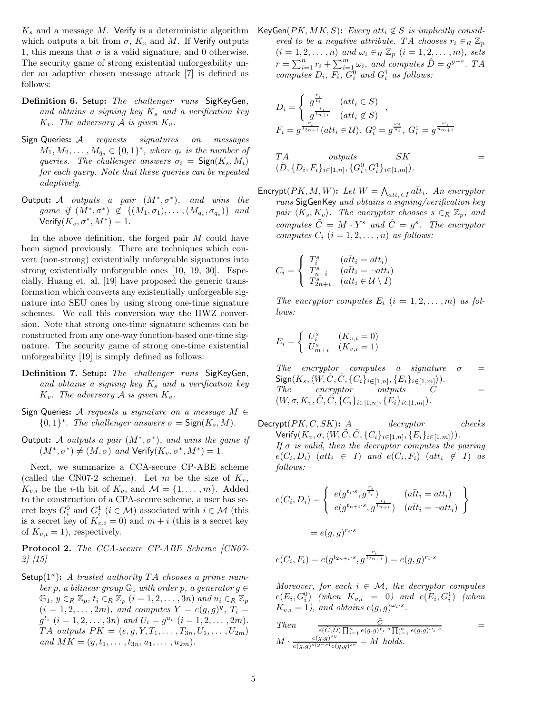$K_s$  and a message M. Verify is a deterministic algorithm which outputs a bit from  $\sigma$ ,  $K_v$  and M. If Verify outputs 1, this means that  $\sigma$  is a valid signature, and 0 otherwise. The security game of strong existential unforgeability under an adaptive chosen message attack [7] is defined as follows:

- **Definition 6.** Setup**:** *The challenger runs* SigKeyGen*, and obtains a signing key* <sup>K</sup>s *and a verification key*  $K_v$ *. The adversary* A *is given*  $K_v$ *.*
- Sign Queries**:** <sup>A</sup> *requests signatures on messages*  $M_1, M_2, \ldots, M_{q_s} \in \{0,1\}^*$ *, where*  $q_s$  *is the number of queries. The challenger answers*  $\sigma_i = \text{Sign}(K_s, M_i)$ *for each query. Note that these queries can be repeated adaptively.*
- Output**:** <sup>A</sup> *outputs a pair* (M∗, σ∗)*, and wins the game if*  $(M^*, \sigma^*) \notin \{(M_1, \sigma_1), \ldots, (M_{q_s}, \sigma_{q_s})\}$  *and* Verify $(K_v, \sigma^*, M^*)=1$ .

In the above definition, the forged pair  $M$  could have been signed previously. There are techniques which convert (non-strong) existentially unforgeable signatures into strong existentially unforgeable ones [10, 19, 30]. Especially, Huang et. al. [19] have proposed the generic transformation which converts any existentially unforgeable signature into SEU ones by using strong one-time signature schemes. We call this conversion way the HWZ conversion. Note that strong one-time signature schemes can be constructed from any one-way function-based one-time signature. The security game of strong one-time existential unforgeability [19] is simply defined as follows:

- **Definition 7.** Setup**:** *The challenger runs* SigKeyGen*, and obtains a signing key* <sup>K</sup>s *and a verification key*  $K_v$ . The adversary A is given  $K_v$ .
- Sign Queries**:** <sup>A</sup> *requests a signature on a message* <sup>M</sup> <sup>∈</sup>  ${0,1}^*$ *. The challenger answers*  $\sigma = \text{Sign}(K_s, M)$ *.*
- Output**:** <sup>A</sup> *outputs a pair* (M∗, σ∗)*, and wins the game if*  $(M^*, \sigma^*) \neq (M, \sigma)$  *and* Verify $(K_v, \sigma^*, M^*)=1$ .

Next, we summarize a CCA-secure CP-ABE scheme (called the CN07-2 scheme). Let m be the size of  $K_v$ ,  $K_{v,i}$  be the *i*-th bit of  $K_v$ , and  $\mathcal{M} = \{1, \ldots, m\}$ . Added to the construction of a CPA-secure scheme, a user has secret keys  $G_i^0$  and  $G_i^1$  ( $i \in \mathcal{M}$ ) associated with  $i \in \mathcal{M}$  (this<br>is a socret key of  $K_{i,j} = 0$ ) and  $m + i$  (this is a socret key is a secret key of  $K_{v,i} = 0$ ) and  $m + i$  (this is a secret key of  $K_{v,i} = 1$ , respectively.

**Protocol 2.** *The CCA-secure CP-ABE Scheme [CN07- 2] [15]*

Setup( $1^{\kappa}$ ): *A trusted authority* TA *chooses a prime number* p, a bilinear group  $\mathbb{G}_1$  *with order* p, a generator  $g \in$  $\mathbb{G}_1, y \in_R \mathbb{Z}_p, t_i \in_R \mathbb{Z}_p$   $(i = 1, 2, \ldots, 3n)$  and  $u_i \in_R \mathbb{Z}_p$  $(i = 1, 2, ..., 2m)$ *, and computes*  $Y = e(g, g)^y$ *,*  $T_i =$  $g^{t_i}$   $(i = 1, 2, \ldots, 3n)$  and  $U_i = g^{u_i}$   $(i = 1, 2, \ldots, 2m)$ .  $TA$  *outputs*  $PK = (e, g, Y, T_1, \ldots, T_{3n}, U_1, \ldots, U_{2m})$ *and*  $MK = (y, t_1, \ldots, t_{3n}, u_1, \ldots, u_{2m})$ .

KeyGen( $PK, MK, S$ ): *Every* att<sub>i</sub>  $\notin S$  *is implicitly considered to be a negative attribute.* TA *chooses*  $r_i \in_R \mathbb{Z}_n$  $(i = 1, 2, \ldots, n)$  and  $\omega_i \in_R \mathbb{Z}_p$   $(i = 1, 2, \ldots, m)$ *, sets*  $r = \sum_{i=1}^{n} r_i + \sum_{i=1}^{m} \omega_i$ , and computes  $\hat{D} = g^{y-r}$ . TA<br>computes  $D \cdot F \cdot G^0$  and  $G^1$  as follows: *computes*  $D_i$ ,  $F_i$ ,  $G_i^0$  *and*  $G_i^1$  *as follows:* 

$$
D_i = \begin{cases} g^{\frac{r_i}{t_i}} & (att_i \in S) \\ g^{\frac{r_i}{t_{n+i}}} & (att_i \notin S) \end{cases},
$$
\n
$$
F_i = g^{\frac{r_i}{t_{2n+i}}}(att_i \in \mathcal{U}), G_i^0 = g^{\frac{\omega_i}{u_i}}, G_i^1 = g^{\frac{\omega_i}{u_{m+i}}}
$$

$$
TA \t outputs \t SK \t= \t (D, \{D_i, F_i\}_{i \in [1,n]}, \{G_i^0, G_i^1\}_{i \in [1,m]}).
$$

 $\mathsf{Encrypt}(PK, M, W)$ : *Let*  $W = \bigwedge_{\text{att}_i \in I} \tilde{att}_i$ . An encryptor runs SigGenKey and obtains a signing/verification key *runs* SigGenKey *and obtains a signing/verification key pair*  $\langle K_s, K_v \rangle$ . The encryptor chooses  $s \in_R \mathbb{Z}_p$ , and *computes*  $\tilde{C} = M \cdot Y^s$  *and*  $\hat{C} = g^s$ *. The encryptor computes*  $C_i$   $(i = 1, 2, \ldots, n)$  *as follows:* 

$$
C_i = \begin{cases} T_i^s & (a\bar{t}t_i = att_i) \\ T_{n+i}^s & (a\bar{t}t_i = \neg att_i) \\ T_{2n+i}^s & (att_i \in \mathcal{U} \setminus I) \end{cases}
$$

The encryptor computes  $E_i$   $(i = 1, 2, \ldots, m)$  as fol*lows:*

$$
E_i = \begin{cases} U_i^s & (K_{v,i} = 0) \\ U_{m+i}^s & (K_{v,i} = 1) \end{cases}
$$

 $The$  encryptor computes a signature  $\sigma$  $\frac{\text{Sign}(K_s, \langle \tilde{W}, \tilde{C}, \hat{C}, \{C_i\}_{i \in [1,n]}, \{E_i\}_{i \in [1,m]})\rangle}{\text{The}.}$ *The encryptor outputs C* =  $(W, \sigma, K_v, \tilde{C}, \tilde{C}, \{C_i\}_{i \in [1,n]}, \{E_i\}_{i \in [1,m]})$ .

 $\text{Decrypt}(PK, C, SK):$  *A* decryptor checks<br>Nerify  $K = \sigma / W \tilde{C} \tilde{C} (SC)$  $\text{Verify}(K_v, \sigma, \langle W, \tilde{C}, \hat{C}, \{C_i\}_{i \in [1,n]}, \{E_i\}_{i \in [1,m]})\text{)}$ <br>*If*  $\sigma$  is valid, then the decreator computes the *i If* σ *is valid, then the decryptor computes the pairing*  $e(C_i, D_i)$  (att<sub>i</sub>  $\in$  I) and  $e(C_i, F_i)$  (att<sub>i</sub>  $\notin$  I) as *follows:*

$$
e(C_i, D_i) = \begin{cases} e(g^{t_i \cdot s}, g^{\frac{r_i}{t_i}}) & (a\bar{t}t_i = att_i) \\ e(g^{t_{n+i} \cdot s}, g^{\frac{r_i}{t_{n+i}}}) & (a\bar{t}t_i = \neg att_i) \end{cases}
$$
\n
$$
= e(g, g)^{r_i \cdot s}
$$

$$
e(C_i, F_i) = e(g^{t_{2n+i} \cdot s}, g^{\frac{r_i}{t_{2n+i}}}) = e(g, g)^{r_i \cdot s}
$$

*Moreover, for each*  $i \in \mathcal{M}$ *, the decryptor computes*  $e(E_i, G_i^0)$  (when  $K_{v,i} = 0$ ) and  $e(E_i, G_i^1)$  (when<br> $K_{v,i} = 1$ ) and obtains  $e(a, \alpha)^{\omega_i \cdot s}$  $K_{v,i} = 1$ , and obtains  $e(g, g)^{\omega_i \cdot s}$ .

Then 
$$
\frac{\tilde{C}}{e(\hat{C}, \hat{D}) \prod_{i=1}^{n} e(g,g)^{r_i \cdot s} \prod_{i=1}^{m} e(g,g)^{\omega_i \cdot s}}
$$

$$
M \cdot \frac{e(g,g)^{sy}}{e(g,g)^{s(y-r)} e(g,g)^{sr}} = M \text{ holds.}
$$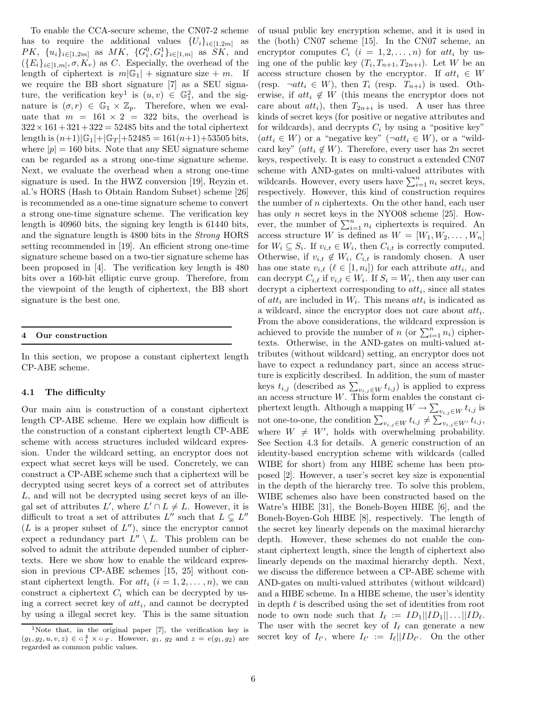To enable the CCA-secure scheme, the CN07-2 scheme has to require the additional values  $\{U_i\}_{i\in[1,2m]}$  as  $PK, \{u_i\}_{i\in[1,2m]}$  as  $MK, \{G_i^0, G_i^1\}_{i\in[1,m]}$  as  $SK$ , and  $(F_1)$ ,  $\ldots$   $\sigma K$ ) as C. Especially, the everybood of the  $(\{E_i\}_{i\in[1,m]}, \sigma, K_v)$  as C. Especially, the overhead of the length of ciphertext is  $m|\mathbb{G}_1|$  + signature size + m. If we require the BB short signature [7] as a SEU signature, the verification key<sup>1</sup> is  $(u, v) \in \mathbb{G}_1^2$ , and the signature is  $(\sigma, r) \in \mathbb{G}_1 \times \mathbb{Z}_p$ . Therefore, when we evaluate that  $m = 161 \times 2 = 322$  bits, the overhead is  $322 \times 161 + 321 + 322 = 52485$  bits and the total ciphertext length is  $(n+1)|\mathbb{G}_1|+|\mathbb{G}_T|+52485=161(n+1)+53505$  bits, where  $|p| = 160$  bits. Note that any SEU signature scheme can be regarded as a strong one-time signature scheme. Next, we evaluate the overhead when a strong one-time signature is used. In the HWZ conversion [19], Reyzin et. al.'s HORS (Hash to Obtain Random Subset) scheme [26] is recommended as a one-time signature scheme to convert a strong one-time signature scheme. The verification key length is 40960 bits, the signing key length is 61440 bits, and the signature length is 4800 bits in the *Strong* HORS setting recommended in [19]. An efficient strong one-time signature scheme based on a two-tier signature scheme has been proposed in [4]. The verification key length is 480 bits over a 160-bit elliptic curve group. Therefore, from the viewpoint of the length of ciphertext, the BB short signature is the best one.

#### **4 Our construction**

In this section, we propose a constant ciphertext length CP-ABE scheme.

## **4.1 The difficulty**

Our main aim is construction of a constant ciphertext length CP-ABE scheme. Here we explain how difficult is the construction of a constant ciphertext length CP-ABE scheme with access structures included wildcard expression. Under the wildcard setting, an encryptor does not expect what secret keys will be used. Concretely, we can construct a CP-ABE scheme such that a ciphertext will be decrypted using secret keys of a correct set of attributes L, and will not be decrypted using secret keys of an illegal set of attributes  $L'$ , where  $L' \cap L \neq L$ . However, it is difficult to treat a set of attributes  $L''$  such that  $L \subsetneq L''$  $(L$  is a proper subset of  $L'$ , since the encryptor cannot expect a redundancy part  $L'' \setminus L$ . This problem can be solved to admit the attribute depended number of ciphertexts. Here we show how to enable the wildcard expression in previous CP-ABE schemes [15, 25] without constant ciphertext length. For  $att_i$   $(i = 1, 2, ..., n)$ , we can construct a ciphertext  $C_i$  which can be decrypted by using a correct secret key of  $att_i$ , and cannot be decrypted by using a illegal secret key. This is the same situation of usual public key encryption scheme, and it is used in the (both) CN07 scheme [15]. In the CN07 scheme, an encryptor computes  $C_i$   $(i = 1, 2, ..., n)$  for  $att_i$  by using one of the public key  $(T_i, T_{n+1}, T_{2n+i})$ . Let W be an access structure chosen by the encryptor. If  $att_i \in W$ (resp.  $\neg att_i \in W$ ), then  $T_i$  (resp.  $T_{n+i}$ ) is used. Otherwise, if  $att_i \notin W$  (this means the encryptor does not care about  $att_i$ , then  $T_{2n+i}$  is used. A user has three kinds of secret keys (for positive or negative attributes and for wildcards), and decrypts  $C_i$  by using a "positive key"  $(att_i \in W)$  or a "negative key"  $(\neg att_i \in W)$ , or a "wildcard key"  $(at_i \notin W)$ . Therefore, every user has 2n secret keys, respectively. It is easy to construct a extended CN07 scheme with AND-gates on multi-valued attributes with wildcards. However, every users have  $\sum_{i=1}^{n} n_i$  secret keys,<br>respectively. However, this kind of construction requires respectively. However, this kind of construction requires the number of  $n$  ciphertexts. On the other hand, each user has only *n* secret keys in the NYO08 scheme [25]. However, the number of  $\sum_{i=1}^{n} n_i$  ciphertexts is required. An access structure W is defined as  $W - [W, W_0, W_1]$ access structure W is defined as  $W = [W_1, W_2, \dots, W_n]$ for  $W_i \subseteq S_i$ . If  $v_{i,t} \in W_i$ , then  $C_{i,t}$  is correctly computed. Otherwise, if  $v_{i,t} \notin W_i$ ,  $C_{i,t}$  is randomly chosen. A user has one state  $v_{i,\ell}$  ( $\ell \in [1, n_i]$ ) for each attribute  $att_i$ , and can decrypt  $C_{i,\ell}$  if  $v_{i,\ell} \in W_i$ . If  $S_i = W_i$ , then any user can decrypt a ciphertext corresponding to  $att_i$ , since all states of  $att_i$  are included in  $W_i$ . This means  $att_i$  is indicated as a wildcard, since the encryptor does not care about  $att_i$ . From the above considerations, the wildcard expression is achieved to provide the number of n (or  $\sum_{i=1}^{n} n_i$ ) cipher-<br>texts. Otherwise, in the AND-cates on multi-valued attexts. Otherwise, in the AND-gates on multi-valued attributes (without wildcard) setting, an encryptor does not have to expect a redundancy part, since an access structure is explicitly described. In addition, the sum of master keys  $t_{i,j}$  (described as  $\sum_{v_{i,j} \in W} t_{i,j}$ ) is applied to express an access structure W. This form enables the constant ciphertext length. Although a mapping  $W \to \sum_{v_i,j \in W} t_{i,j}$  is not one-to-one, the condition  $\sum_{v_{i,j} \in W} t_{i,j} \neq \sum_{v_{i,j} \in W'} t_{i,j}$ , where  $W \neq W'$ , holds with overwhelming probability. See Section 4.3 for details. A generic construction of an identity-based encryption scheme with wildcards (called WIBE for short) from any HIBE scheme has been proposed [2]. However, a user's secret key size is exponential in the depth of the hierarchy tree. To solve this problem, WIBE schemes also have been constructed based on the Watre's HIBE [31], the Boneh-Boyen HIBE [6], and the Boneh-Boyen-Goh HIBE [8], respectively. The length of the secret key linearly depends on the maximal hierarchy depth. However, these schemes do not enable the constant ciphertext length, since the length of ciphertext also linearly depends on the maximal hierarchy depth. Next, we discuss the difference between a CP-ABE scheme with AND-gates on multi-valued attributes (without wildcard) and a HIBE scheme. In a HIBE scheme, the user's identity in depth  $\ell$  is described using the set of identities from root node to own node such that  $I_{\ell} := ID_1 || ID_1 || \dots || ID_{\ell}.$ The user with the secret key of  $I_{\ell}$  can generate a new secret key of  $I_{\ell'}$ , where  $I_{\ell'} := I_{\ell} || ID_{\ell'}$ . On the other

<sup>&</sup>lt;sup>1</sup>Note that, in the original paper  $[7]$ , the verification key is  $(g_1, g_2, u, v, z) \in \mathbb{G}_1^4 \times \mathbb{G}_T$ . However,  $g_1, g_2$  and  $z = e(g_1, g_2)$  are regarded as common public values regarded as common public values.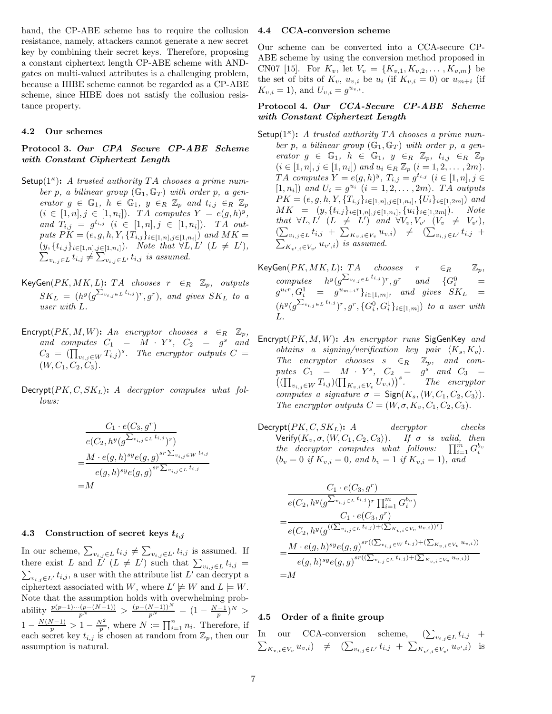hand, the CP-ABE scheme has to require the collusion resistance, namely, attackers cannot generate a new secret key by combining their secret keys. Therefore, proposing a constant ciphertext length CP-ABE scheme with ANDgates on multi-valued attributes is a challenging problem, because a HIBE scheme cannot be regarded as a CP-ABE scheme, since HIBE does not satisfy the collusion resistance property.

#### **4.2 Our schemes**

## **Protocol 3.** *Our CPA Secure CP-ABE Scheme with Constant Ciphertext Length*

- Setup(1<sup>κ</sup>): *A trusted authority* T*A chooses a prime num*ber p, a bilinear group  $(\mathbb{G}_1, \mathbb{G}_T)$  with order p, a gen*erator*  $g \in \mathbb{G}_1$ ,  $h \in \mathbb{G}_1$ ,  $y \in_R \mathbb{Z}_p$  *and*  $t_{i,j} \in_R \mathbb{Z}_p$  $(i \in [1, n], j \in [1, n_i])$ *. TA computes*  $Y = e(g, h)^y$ ,  $and T_{i,j} = g^{t_{i,j}} \ (i \in [1,n], j \in [1,n_i]).$  *TA outputs*  $PK = (e, g, h, Y, \{T_{i,j}\}_{i \in [1,n], j \in [1,n_i]})$  *and*  $MK =$  $(y, \{t_{i,j}\}_{i\in [1,n],j\in [1,n_i]}).$  Note that  $\forall L, L' \ (L \neq L'),$  $\sum_{v_{i,j}\in L} t_{i,j} \neq \sum_{v_{i,j}\in L'} t_{i,j}$  is assumed.
- KeyGen( $PK, MK, L$ ): TA *chooses*  $r ∈<sub>R</sub> Z<sub>p</sub>$ , *outputs*  $SK_L = (h^y(g^{\sum_{v_{i,j}\in L}t_{i,j}})^r, g^r)$ *, and gives*  $SK_L$  to a *user with* L*.*
- $\begin{array}{rcllcl}\n\text{Encryption:} & \text{Energy}(PK, M, W): & An \quad encryption \quad chosen \quad s & \in_R & \mathbb{Z}_p, \\
and & \text{computes} & C_1 & = & M \cdot Y^s, \quad C_2 & = & g^s \quad and\n\end{array}$  $C_3 = (\prod_{v_{i,j} \in W} T_{i,j})^s$ . The encryptor outputs  $C =$  $(W, C_1, C_2, C_3)$ *.*
- Decrypt(PK, C, SKL)**:** *A decryptor computes what follows:*

$$
C_1 \cdot e(C_3, g^r)
$$
  
\n
$$
e(C_2, h^y(g^{\sum_{v_{i,j}\in L} t_{i,j}})r)
$$
  
\n
$$
= \frac{M \cdot e(g, h)^{sy} e(g, g)^{sr \sum_{v_{i,j}\in W} t_{i,j}}}{e(g, h)^{sy} e(g, g)^{sr \sum_{v_{i,j}\in L} t_{i,j}}}
$$
  
\n
$$
= M
$$

#### **4.3 Construction of secret keys** *ti,j*

In our scheme,  $\sum_{v_i,j\in L} t_{i,j} \neq \sum_{v_i,j\in L'} t_{i,j}$  is assumed. If there exist L and L'  $(L \neq L')$  such that  $\sum_{v_{i,j} \in L} t_{i,j} =$ <br> $\sum_{v_{i,j} \in L'} t_{i,j}$ , a user with the attribute list L' can decrypt a  $\sum_{v_i, j \in L'} t_{i,j}$ , a user with the attribute list L' can decrypt a ciphertext associated with W, where  $L' \not\models W$  and  $L \models W$ . Note that the assumption holds with overwhelming probability  $\frac{p(p-1)\cdots(p-(N-1))}{p^N} > \frac{(p-(N-1))^N}{p^N} = (1 - \frac{N-1}{p})^N >$  $1 - \frac{N(N-1)}{p} > 1 - \frac{N^2}{p}$ , where  $N := \prod_{i=1}^{n} n_i$ . Therefore, if each secret key  $t_{i,j}$  is chosen at random from  $\mathbb{Z}_p$ , then our assumption is natural.

#### **4.4 CCA-conversion scheme**

Our scheme can be converted into a CCA-secure CP-ABE scheme by using the conversion method proposed in CN07 [15]. For  $K_v$ , let  $V_v = \{K_{v,1}, K_{v,2}, \ldots, K_{v,m}\}\$  be the set of bits of  $K_v$ ,  $u_{v,i}$  be  $u_i$  (if  $K_{v,i} = 0$ ) or  $u_{m+i}$  (if  $K_{v,i} = 1$ ), and  $U_{v,i} = g^{u_{v,i}}$ .

## **Protocol 4.** *Our CCA-Secure CP-ABE Scheme with Constant Ciphertext Length*

- Setup( $1^{\kappa}$ ): A trusted authority TA *chooses* a prime num*ber* p, a bilinear group  $(\mathbb{G}_1, \mathbb{G}_T)$  with order p, a gen*erator*  $g \in \mathbb{G}_1$ ,  $h \in \mathbb{G}_1$ ,  $y \in_R \mathbb{Z}_p$ ,  $t_{i,j} \in_R \mathbb{Z}_p$  $(i \in [1, n], j \in [1, n_i])$  and  $u_i \in_R \mathbb{Z}_p$   $(i = 1, 2, \ldots, 2m)$ . *TA computes*  $Y = e(g, h)^y$ ,  $T_{i,j} = g^{t_{i,j}}$   $(i \in [1, n], j \in$  $[1, n_i]$  *and*  $U_i = g^{u_i}$   $(i = 1, 2, ..., 2m)$ *. TA outputs*  $PK = (e, g, h, Y, \{T_{i,j}\}_{i \in [1,n], j \in [1,n_i]}, \{U_i\}_{i \in [1,2m]})$  and  $MK = (y, \{t_{i,j}\}_{i\in[1,n],j\in[1,n_i]}, \{u_i\}_{i\in[1,2m]})$ *. Note that*  $\forall L, L' \ (L \neq L') \ and \ \forall V_v, V_{v'} \ (V_v \neq V_{v'})$  $\left( \sum_{v_{i,j} \in L} t_{i,j} + \sum_{K_{v,i} \in V_v} u_{v,i} \right) \neq \left( \sum_{v_{i,j} \in L'} t_{i,j} + \right)$  $\sum_{K_{v',i}\in V_{v'}} u_{v',i})$  *is assumed.*
- $\mathsf{KeyGen}(PK, MK, L)$ :  $TA$  *chooses*  $r \in_R \mathbb{Z}_p$ ,<br> $\lim_{n \to \infty} \sum_{k=1}^{N} x_k \cdot \sum_{k=1}^{N} x_k \cdot \sum_{k=1}^{N} x_k \cdot \sum_{k=1}^{N} x_k \cdot \sum_{k=1}^{N} x_k \cdot \sum_{k=1}^{N} x_k \cdot \sum_{k=1}^{N} x_k \cdot \sum_{k=1}^{N} x_k \cdot \sum_{k=1}^{N} x_k \cdot \sum_{k=1}^{N} x_k \cdot \sum_{k=1}^{N} x_k \cdot \sum_{k=1}^{N}$  $computes$   $h^y(g^{\sum_{v_{i,j}\in L}t_{i,j}})^r, g^r$  and  $\{G_i^0\}$  $\begin{array}{lllll} \hbox{computes} & h^y(g^{2\omega_{i,j}\in L^{l_{i,j}}})^r, g^r & \hbox{and} & \{G_i^0\} & = \ g^{uir}, G_i^1 & = & g^{umi}r\}_{i\in[1,m]}, & \hbox{and} & \hbox{gives} & SK_L & = \ \hbox{in} & \mathbb{R} & \mathbb{R} & \mathbb{R} & \mathbb{R} \end{array}$  $(h^y(g^{\sum_{v_{i,j}\in L}t_{i,j}})^r, g^r, \{G_i^0, G_i^1\}_{i\in[1,m]})$  *to a user with* L*.*
- Encrypt(PK, M, W)**:** *An encryptor runs* SigGenKey *and obtains a signing/verification key pair*  $\langle K_s, K_v \rangle$ .<br>The examples absence  $\epsilon$  of  $\mathbb{Z}$  and some *The encryptor chooses*  $s \in_R \mathbb{Z}_p$ , and computes  $C_1 = M \cdot Y^s$ ,  $C_2 = g^s$  and  $C_3 =$  $\left( (\prod_{v_i,j\in W} T_{i,j})(\prod_{K_{v,i}\in V_v} U_{v,i}) \right)^s$ . The encryptor *computes a signature*  $\sigma = \text{Sign}(K_s, \langle W, C_1, C_2, C_3 \rangle)$ .<br>The encryptor outpute  $C - (W \sigma K, C_2, C_3)$ . *The encryptor outputs*  $C = (W, \sigma, K_v, C_1, C_2, C_3)$ *.*
- $\text{Decrypt}(PK, C, SK_L):$  *A* decryptor checks<br>Nerify  $K$ ,  $\sigma / W$ ,  $C_2$ ,  $C_3$ ) If  $\sigma$  is valid then  $\text{Verify}(K_v, \sigma, \langle W, C_1, C_2, C_3 \rangle)$ . If  $\sigma$  *is valid, then*<br>the decreptor computes what follows:  $\prod^m C^{b_v}$ *the decryptor computes what follows:*  $\prod_{i=1}^m G_i^{b_v}$  $(b_v = 0 \text{ if } K_{v,i} = 0, \text{ and } b_v = 1 \text{ if } K_{v,i} = 1), \text{ and}$

$$
\frac{C_1 \cdot e(C_3, g^r)}{e(C_2, h^y(g^{\sum_{v_{i,j} \in L} t_{i,j}})^r \prod_{i=1}^m G_i^{b_v})}
$$
\n
$$
= \frac{C_1 \cdot e(C_3, g^r)}{e(C_2, h^y(g^{((\sum_{v_{i,j} \in L} t_{i,j}) + (\sum_{K_{v,i} \in V_v} u_{v,i}))^r)}
$$
\n
$$
= \frac{M \cdot e(g, h)^{sy} e(g, g)^{sr((\sum_{v_{i,j} \in L} t_{i,j}) + (\sum_{K_{v,i} \in V_v} u_{v,i}))}}{e(g, h)^{sy} e(g, g)^{sr((\sum_{v_{i,j} \in L} t_{i,j}) + (\sum_{K_{v,i} \in V_v} u_{v,i}))}}
$$
\n
$$
= M
$$

## **4.5 Order of a finite group**

In our CCA-conversion scheme,  $(\sum_{v_{i,j}\in L} t_{i,j} + \sum_{v_{i,j}\in L} t_{i,j})$  $\sum_{K_{v,i}\in V_v} u_{v,i}$ )  $\neq$   $(\sum_{v_{i,j}\in L'} t_{i,j} + \sum_{K_{v',i}\in V_{v'}} u_{v',i})$  is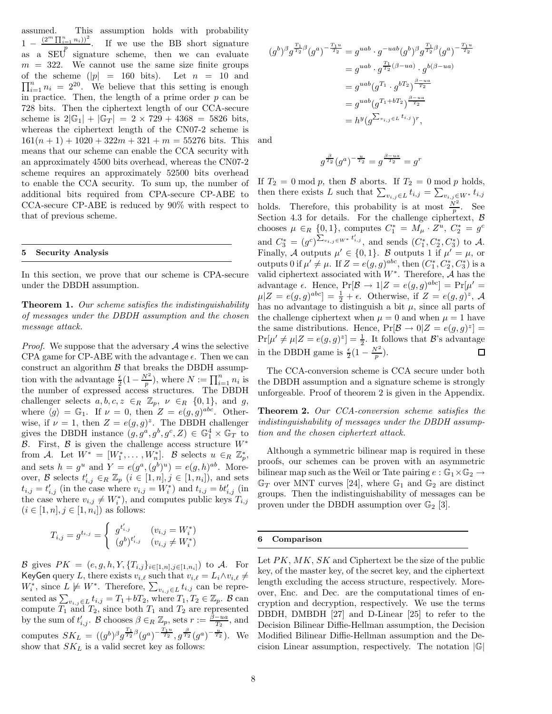assumed. This assumption holds with probability  $1-\frac{(2^m\prod_{i=1}^n n_i))^2}{n}$  $1 - \frac{(2 \ln \ln n)}{p}$ . If we use the BB short signature as a SEU signature scheme, then we can evaluate  $m = 322$ . We cannot use the same size finite groups  $\prod_{i=1}^{n} n_i = 2^{20}$ . We believe that this setting is enough in practice. Then, the length of a prime order n can be of the scheme  $(|p| = 160 \text{ bits})$ . Let  $n = 10 \text{ and}$ in practice. Then, the length of a prime order  $p$  can be 728 bits. Then the ciphertext length of our CCA-secure scheme is  $2|\mathbb{G}_1| + |\mathbb{G}_T| = 2 \times 729 + 4368 = 5826$  bits, whereas the ciphertext length of the CN07-2 scheme is  $161(n + 1) + 1020 + 322m + 321 + m = 55276$  bits. This means that our scheme can enable the CCA security with an approximately 4500 bits overhead, whereas the CN07-2 scheme requires an approximately 52500 bits overhead to enable the CCA security. To sum up, the number of additional bits required from CPA-secure CP-ABE to CCA-secure CP-ABE is reduced by 90% with respect to that of previous scheme.

## **5 Security Analysis**

In this section, we prove that our scheme is CPA-secure under the DBDH assumption.

**Theorem 1.** *Our scheme satisfies the indistinguishability of messages under the DBDH assumption and the chosen message attack.*

*Proof.* We suppose that the adversary  $A$  wins the selective CPA game for CP-ABE with the advantage  $\epsilon$ . Then we can construct an algorithm  $\beta$  that breaks the DBDH assumption with the advantage  $\frac{\epsilon}{2}(1-\frac{N^2}{p})$ , where  $N := \prod_{i=1}^n n_i$  is<br>the number of expressed access structures. The DBDH challenger selects  $a, b, c, z \in_R \mathbb{Z}_p$ ,  $\nu \in_R \{0, 1\}$ , and g, where  $\langle g \rangle = \mathbb{G}_1$ . If  $\nu = 0$ , then  $Z = e(g, g)^{abc}$ . Otherwise, if  $\nu = 1$ , then  $Z = e(g, g)^z$ . The DBDH challenger gives the DBDH instance  $(g, g^a, g^b, g^c, Z) \in \mathbb{G}_1^4 \times \mathbb{G}_T$  to  $\mathcal{B}$ . First,  $\mathcal{B}$  is given the shallness assess structure  $W^*$ . B. First, B is given the challenge access structure  $W^*$ from A. Let  $W^* = [W_1^*, \ldots, W_n^*]$ . B selects  $u \in_R \mathbb{Z}_p^*$ , and sets  $h = g^u$  and  $Y = e(g^a, (g^b)^u) = e(g, h)^{ab}$ . Moreover, B selects  $t'_{i,j} \in \mathbb{R} \mathbb{Z}_p$   $(i \in [1, n], j \in [1, n_i])$ , and sets<br>  $t_{i,j} = t'$  (in the case where  $v_{i,j} = W^*$ ) and  $t_{i,j} = bt'$  (in  $t_{i,j} = t'_{i,j}$  (in the case where  $v_{i,j} = W^*_i$ ) and  $t_{i,j} = bt'_{i,j}$  (in the case where  $v_{i,j} \neq W^*$ ) and computes public lows  $T_{i,j}$ the case where  $v_{i,j} \neq W_i^*$ , and computes public keys  $T_{i,j}$ <br> $(i \in [1, n], i \in [1, n])$  as follows:  $(i \in [1, n], j \in [1, n_i])$  as follows:

$$
T_{i,j} = g^{t_{i,j}} = \begin{cases} g^{t'_{i,j}} & (v_{i,j} = W_i^*) \\ (g^b)^{t'_{i,j}} & (v_{i,j} \neq W_i^*) \end{cases}
$$

B gives  $PK = (e, g, h, Y, \{T_{i,j}\}_{i \in [1,n], j \in [1,n_i]})$  to A. For KeyGen query L, there exists  $v_{i,\ell}$  such that  $v_{i,\ell} = L_i \wedge v_{i,\ell} \neq$  $W^*_i$ , since  $L \not\models W^*$ . Therefore,  $\sum_{v_{i,j} \in L} t_{i,j}$  can be repre-<br>cantal as  $\sum_{v_{i,j} \in L} t_{i,j}$  where  $T, T \in \mathbb{Z}$ . Been sented as  $\sum_{v_i,j\in L} t_{i,j} = T_1 + bT_2$ , where  $T_1, T_2 \in \mathbb{Z}_p$ .  $B$  can compute  $T_1$  and  $T_2$ , since both  $T_1$  and  $T_2$  are represented by the sum of  $t'_{i,j}$ . B chooses  $\beta \in_R \mathbb{Z}_p$ , sets  $r := \frac{\beta - ua}{T_2}$ , and computes  $SK_L = ((g^b)^\beta g^{\frac{T_1}{T_2}\beta}(g^a)^{-\frac{T_1u}{T_2}}, g^{\frac{\beta}{T_2}}(g^a)^{-\frac{u}{T_2}})$ . We show that  $SK_L$  is a valid secret key as follows:

$$
(g^{b})^{\beta} g^{\frac{T_{1}}{T_{2}}\beta} (g^{a})^{-\frac{T_{1}u}{T_{2}}} = g^{uab} \cdot g^{-uab} (g^{b})^{\beta} g^{\frac{T_{1}}{T_{2}}\beta} (g^{a})^{-\frac{T_{1}u}{T_{2}}}
$$
  

$$
= g^{uab} \cdot g^{\frac{T_{1}}{T_{2}}(\beta - ua)} \cdot g^{b(\beta - ua)}
$$
  

$$
= g^{uab} (g^{T_{1}} \cdot g^{bT_{2}})^{\frac{\beta - ua}{T_{2}}}
$$
  

$$
= g^{uab} (g^{T_{1} + bT_{2}})^{\frac{\beta - ua}{T_{2}}}
$$
  

$$
= h^{y} (g^{\sum_{v_{i,j} \in L} t_{i,j}})^{r},
$$

and

$$
g^{\frac{\beta}{T_2}}(g^a)^{-\frac{u}{T_2}} = g^{\frac{\beta - ua}{T_2}} = g^r
$$

If  $T_2 = 0 \mod p$ , then  $\beta$  aborts. If  $T_2 = 0 \mod p$  holds, then there exists L such that  $\sum_{v_{i,j}\in L} t_{i,j} = \sum_{v_{i,j}\in W^*} t_{i,j}$ holds. Therefore, this probability is at most  $\frac{N^2}{p}$ . See<br>Section 4.3 for details. For the challenge ciphertext B Section 4.3 for details. For the challenge ciphertext,  $\beta$ chooses  $\mu \in_R \{0,1\}$ , computes  $C_1^* = M_{\mu} \cdot Z^u$ ,  $C_2^* = g^c$ and  $C_3^* = (g^c)^{\sum_{v_{i,j} \in W^*} t'_{i,j}}$ , and sends  $(C_1^*, C_2^*, C_3^*)$  to A. Finally, A outputs  $\mu' \in \{0,1\}$ . B outputs 1 if  $\mu' = \mu$ , or outputs 0 if  $\mu' \neq \mu$ . If  $Z = e(g, g)^{abc}$ , then  $(C_1^*, C_2^*, C_3^*)$  is a valid ciphertext associated with  $W^*$ . Therefore,  $A$  has the advantage  $\epsilon$ . Hence,  $Pr[\mathcal{B} \to 1 | Z = e(g, g)^{abc}] = Pr[\mu' =$  $\mu|Z = e(g, g)^{abc}$ ] =  $\frac{1}{2} + \epsilon$ . Otherwise, if  $Z = e(g, g)^z$ , A has no advantage to distinguish a bit  $\mu$ , since all parts of the challenge ciphertext when  $\mu = 0$  and when  $\mu = 1$  have the same distributions. Hence,  $Pr[\mathcal{B} \to 0|Z = e(g, g)^{z}] =$  $Pr[\mu' \neq \mu | Z = e(g, g)^{z}] = \frac{1}{2}$ . It follows that  $\mathcal{B}$ 's advantage in the DBDH game is  $\frac{\epsilon}{2}(1 - \frac{N^2}{p})$ . 口

The CCA-conversion scheme is CCA secure under both the DBDH assumption and a signature scheme is strongly unforgeable. Proof of theorem 2 is given in the Appendix.

**Theorem 2.** *Our CCA-conversion scheme satisfies the indistinguishability of messages under the DBDH assumption and the chosen ciphertext attack.*

Although a symmetric bilinear map is required in these proofs, our schemes can be proven with an asymmetric bilinear map such as the Weil or Tate pairing  $e : \mathbb{G}_1 \times \mathbb{G}_2 \rightarrow$  $\mathbb{G}_T$  over MNT curves [24], where  $\mathbb{G}_1$  and  $\mathbb{G}_2$  are distinct groups. Then the indistinguishability of messages can be proven under the DBDH assumption over  $\mathbb{G}_2$  [3].

#### **6 Comparison**

Let  $PK$ ,  $MK$ ,  $SK$  and Ciphertext be the size of the public key, of the master key, of the secret key, and the ciphertext length excluding the access structure, respectively. Moreover, Enc. and Dec. are the computational times of encryption and decryption, respectively. We use the terms DBDH, DMBDH [27] and D-Linear [25] to refer to the Decision Bilinear Diffie-Hellman assumption, the Decision Modified Bilinear Diffie-Hellman assumption and the Decision Linear assumption, respectively. The notation  $|\mathbb{G}|$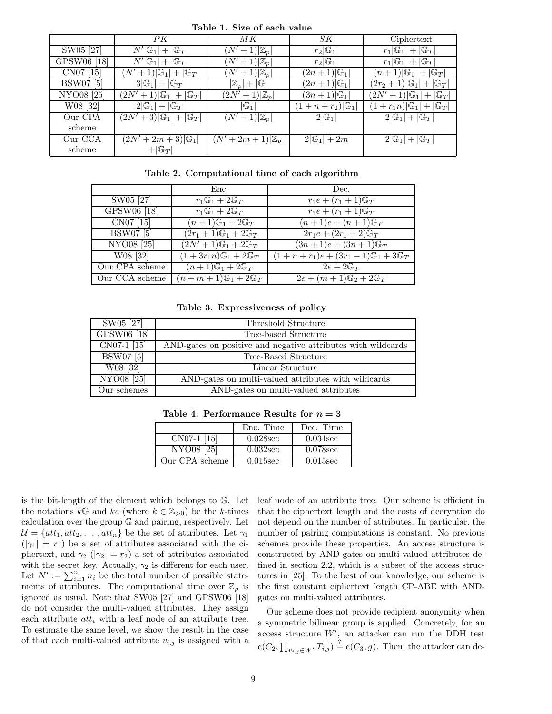| rapic re piac of cach value |                                                   |                               |                           |                                         |  |  |
|-----------------------------|---------------------------------------------------|-------------------------------|---------------------------|-----------------------------------------|--|--|
|                             | PK                                                | МK                            | SK                        | Ciphertext                              |  |  |
| SW05 [27]                   | $N' \mathbb{G}_1 + \mathbb{G}_T $                 | $(N'+1) \mathbb{Z}_p $        | $r_2 \mathbb{G}_1 $       | $r_1 \mathbb{G}_1 + \mathbb{G}_T $      |  |  |
| GPSW06 [18]                 | $N' \mathbb{G}_1 + \mathbb{G}_T $                 | $(N'+1) \mathbb{Z}_p $        | $r_2 \mathbb{G}_1 $       | $r_1 \mathbb{G}_1 + \mathbb{G}_T $      |  |  |
| CN07 [15]                   | $(N'+1) \mathbb{G}_1 + \mathbb{G}_T $             | $(N'+1) \mathbb{Z}_p $        | $(2n+1) \mathbb{G}_1 $    | $(n+1) \mathbb{G}_1 + \mathbb{G}_T $    |  |  |
| <b>BSW07</b> [5]            | $3 \mathbb{G}_1 + \mathbb{G}_T $                  | $ \mathbb{Z}_p + \mathbb{G} $ | $(2n+1) \mathbb{G}_1 $    | $(2r_2+1) \mathbb{G}_1 + \mathbb{G}_T $ |  |  |
| NYO08 <sup>[25]</sup>       | $(2N'+1) \mathbb{G}_1 + \mathbb{G}_T $            | $(2N'+1) \mathbb{Z}_p $       | $(3n+1) \mathbb{G}_1 $    | $(2N'+1) \mathbb{G}_1 + \mathbb{G}_T $  |  |  |
| W08 [32]                    | $2 \mathbb{G}_1 + \mathbb{G}_T $                  | $ \mathbb{G}_1 $              | $(1+n+r_2) \mathbb{G}_1 $ | $(1+r_1n) \mathbb{G}_1 + \mathbb{G}_T $ |  |  |
| Our CPA                     | $\overline{(2N'+3) \mathbb{G}_1 + \mathbb{G}_T }$ | $(N'+1) \mathbb{Z}_p $        | $2 \mathbb{G}_1 $         | $2 G_1  +  G_T $                        |  |  |
| scheme                      |                                                   |                               |                           |                                         |  |  |
| Our CCA                     | $(2N'+2m+3) \mathbb{G}_1 $                        | $(N'+2m+1) \mathbb{Z}_p $     | $2 \mathbb{G}_1  + 2m$    | $2 \mathbb{G}_1 + \mathbb{G}_T $        |  |  |
| scheme                      | $+ G_T $                                          |                               |                           |                                         |  |  |
|                             |                                                   |                               |                           |                                         |  |  |

**Table 1. Size of each value**

**Table 2. Computational time of each algorithm**

|                       | Enc.                                    | Dec.                                                |
|-----------------------|-----------------------------------------|-----------------------------------------------------|
| SW05 [27]             | $r_1\mathbb{G}_1+2\mathbb{G}_T$         | $r_1e + (r_1 + 1)\mathbb{G}_T$                      |
| GPSW06 [18]           | $r_1\mathbb{G}_1+2\mathbb{G}_T$         | $r_1e + (r_1 + 1)\mathbb{G}_T$                      |
| CN07 [15]             | $(n+1)\mathbb{G}_1+2\mathbb{G}_T$       | $(n+1)e + (n+1)\mathbb{G}_T$                        |
| <b>BSW07</b> [5]      | $(2r_1+1)\mathbb{G}_1+2\mathbb{G}_T$    | $2r_1e + (2r_1 + 2)\mathbb{G}_T$                    |
| NYO08 <sup>[25]</sup> | $(2N' + 1)\mathbb{G}_1 + 2\mathbb{G}_T$ | $(3n+1)e + (3n+1)\mathbb{G}_T$                      |
| W08 [32]              | $(1+3r_1n)\mathbb{G}_1+2\mathbb{G}_T$   | $(1+n+r_1)e + (3r_1-1)\mathbb{G}_1 + 3\mathbb{G}_T$ |
| Our CPA scheme        | $(n+1)\mathbb{G}_1+2\mathbb{G}_T$       | $2e+2\mathbb{G}_T$                                  |
| Our CCA scheme        | $(n+m+1)\mathbb{G}_1+2\mathbb{G}_T$     | $2e + (m+1)\mathbb{G}_2 + 2\mathbb{G}_T$            |

**Table 3. Expressiveness of policy**

| SW05 [27]             | Threshold Structure                                          |
|-----------------------|--------------------------------------------------------------|
| GPSW06 [18]           | Tree-based Structure                                         |
| $CN07-1$ [15]         | AND-gates on positive and negative attributes with wildcards |
| <b>BSW07</b> [5]      | Tree-Based Structure                                         |
| $W08$ [32]            | Linear Structure                                             |
| NYO08 <sup>[25]</sup> | AND-gates on multi-valued attributes with wildcards          |
| Our schemes           | AND-gates on multi-valued attributes                         |

Table 4. Performance Results for  $n = 3$ 

|                       | Enc. Time   | Dec. Time   |
|-----------------------|-------------|-------------|
| CN07-1 [15]           | $0.028$ sec | $0.031$ sec |
| NYO08 <sup>[25]</sup> | $0.032$ sec | $0.078$ sec |
| Our CPA scheme        | $0.015$ sec | $0.015$ sec |

is the bit-length of the element which belongs to G. Let the notations  $k\mathbb{G}$  and  $ke$  (where  $k \in \mathbb{Z}_{>0}$ ) be the k-times calculation over the group G and pairing, respectively. Let  $\mathcal{U} = \{att_1, att_2, \ldots, att_n\}$  be the set of attributes. Let  $\gamma_1$  $(|\gamma_1| = r_1)$  be a set of attributes associated with the ciphertext, and  $\gamma_2$  ( $|\gamma_2| = r_2$ ) a set of attributes associated with the secret key. Actually,  $\gamma_2$  is different for each user. Let  $N' := \sum_{i=1}^{n} n_i$  be the total number of possible state-<br>ments of attributes. The computational time over  $\mathbb{Z}$  is ments of attributes. The computational time over  $\mathbb{Z}_p$  is ignored as usual. Note that SW05 [27] and GPSW06 [18] do not consider the multi-valued attributes. They assign each attribute  $att_i$  with a leaf node of an attribute tree. To estimate the same level, we show the result in the case of that each multi-valued attribute  $v_{i,j}$  is assigned with a leaf node of an attribute tree. Our scheme is efficient in that the ciphertext length and the costs of decryption do not depend on the number of attributes. In particular, the number of pairing computations is constant. No previous schemes provide these properties. An access structure is constructed by AND-gates on multi-valued attributes defined in section 2.2, which is a subset of the access structures in [25]. To the best of our knowledge, our scheme is the first constant ciphertext length CP-ABE with ANDgates on multi-valued attributes.

Our scheme does not provide recipient anonymity when a symmetric bilinear group is applied. Concretely, for an access structure  $W'$ , an attacker can run the DDH test  $e(C_2, \prod_{v_{i,j}\in W'} T_{i,j}) \stackrel{?}{=} e(C_3, g)$ . Then, the attacker can de-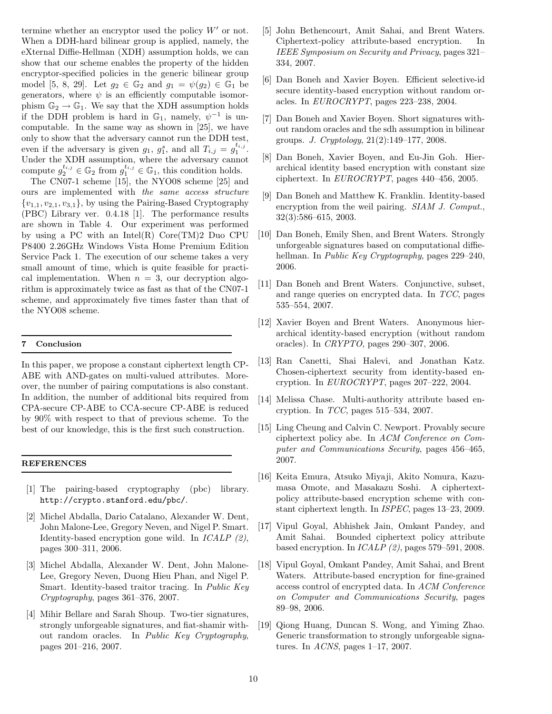termine whether an encryptor used the policy  $W'$  or not. When a DDH-hard bilinear group is applied, namely, the eXternal Diffie-Hellman (XDH) assumption holds, we can show that our scheme enables the property of the hidden encryptor-specified policies in the generic bilinear group model [5, 8, 29]. Let  $g_2 \in \mathbb{G}_2$  and  $g_1 = \psi(g_2) \in \mathbb{G}_1$  be generators, where  $\psi$  is an efficiently computable isomorphism  $\mathbb{G}_2 \to \mathbb{G}_1$ . We say that the XDH assumption holds if the DDH problem is hard in  $\mathbb{G}_1$ , namely,  $\psi^{-1}$  is uncomputable. In the same way as shown in [25], we have only to show that the adversary cannot run the DDH test, even if the adversary is given  $g_1$ ,  $g_1^s$ , and all  $T_{i,j} = g_i^{t_{i,j}}$ .<br>He denotes YDU equivariant where the education cannot Under the XDH assumption, where the adversary cannot compute  $g_2^{t_{i,j}} \in \mathbb{G}_2$  from  $g_1^{t_{i,j}} \in \mathbb{G}_1$ , this condition holds.

The CN07-1 scheme [15], the NYO08 scheme [25] and ours are implemented with *the same access structure*  ${v_{1,1}, v_{2,1}, v_{3,1}}$ , by using the Pairing-Based Cryptography (PBC) Library ver. 0.4.18 [1]. The performance results are shown in Table 4. Our experiment was performed by using a PC with an Intel(R) Core(TM)2 Duo CPU P8400 2.26GHz Windows Vista Home Premium Edition Service Pack 1. The execution of our scheme takes a very small amount of time, which is quite feasible for practical implementation. When  $n = 3$ , our decryption algorithm is approximately twice as fast as that of the CN07-1 scheme, and approximately five times faster than that of the NYO08 scheme.

#### **7 Conclusion**

In this paper, we propose a constant ciphertext length CP-ABE with AND-gates on multi-valued attributes. Moreover, the number of pairing computations is also constant. In addition, the number of additional bits required from CPA-secure CP-ABE to CCA-secure CP-ABE is reduced by 90% with respect to that of previous scheme. To the best of our knowledge, this is the first such construction.

#### **REFERENCES**

- [1] The pairing-based cryptography (pbc) library. http://crypto.stanford.edu/pbc/.
- [2] Michel Abdalla, Dario Catalano, Alexander W. Dent, John Malone-Lee, Gregory Neven, and Nigel P. Smart. Identity-based encryption gone wild. In *ICALP (2)*, pages 300–311, 2006.
- [3] Michel Abdalla, Alexander W. Dent, John Malone-Lee, Gregory Neven, Duong Hieu Phan, and Nigel P. Smart. Identity-based traitor tracing. In *Public Key Cryptography*, pages 361–376, 2007.
- [4] Mihir Bellare and Sarah Shoup. Two-tier signatures, strongly unforgeable signatures, and fiat-shamir without random oracles. In *Public Key Cryptography*, pages 201–216, 2007.
- [5] John Bethencourt, Amit Sahai, and Brent Waters. Ciphertext-policy attribute-based encryption. In *IEEE Symposium on Security and Privacy*, pages 321– 334, 2007.
- [6] Dan Boneh and Xavier Boyen. Efficient selective-id secure identity-based encryption without random oracles. In *EUROCRYPT*, pages 223–238, 2004.
- [7] Dan Boneh and Xavier Boyen. Short signatures without random oracles and the sdh assumption in bilinear groups. *J. Cryptology*, 21(2):149–177, 2008.
- [8] Dan Boneh, Xavier Boyen, and Eu-Jin Goh. Hierarchical identity based encryption with constant size ciphertext. In *EUROCRYPT*, pages 440–456, 2005.
- [9] Dan Boneh and Matthew K. Franklin. Identity-based encryption from the weil pairing. *SIAM J. Comput.*, 32(3):586–615, 2003.
- [10] Dan Boneh, Emily Shen, and Brent Waters. Strongly unforgeable signatures based on computational diffiehellman. In *Public Key Cryptography*, pages 229–240, 2006.
- [11] Dan Boneh and Brent Waters. Conjunctive, subset, and range queries on encrypted data. In *TCC*, pages 535–554, 2007.
- [12] Xavier Boyen and Brent Waters. Anonymous hierarchical identity-based encryption (without random oracles). In *CRYPTO*, pages 290–307, 2006.
- [13] Ran Canetti, Shai Halevi, and Jonathan Katz. Chosen-ciphertext security from identity-based encryption. In *EUROCRYPT*, pages 207–222, 2004.
- [14] Melissa Chase. Multi-authority attribute based encryption. In *TCC*, pages 515–534, 2007.
- [15] Ling Cheung and Calvin C. Newport. Provably secure ciphertext policy abe. In *ACM Conference on Computer and Communications Security*, pages 456–465, 2007.
- [16] Keita Emura, Atsuko Miyaji, Akito Nomura, Kazumasa Omote, and Masakazu Soshi. A ciphertextpolicy attribute-based encryption scheme with constant ciphertext length. In *ISPEC*, pages 13–23, 2009.
- [17] Vipul Goyal, Abhishek Jain, Omkant Pandey, and Amit Sahai. Bounded ciphertext policy attribute based encryption. In *ICALP (2)*, pages 579–591, 2008.
- [18] Vipul Goyal, Omkant Pandey, Amit Sahai, and Brent Waters. Attribute-based encryption for fine-grained access control of encrypted data. In *ACM Conference on Computer and Communications Security*, pages 89–98, 2006.
- [19] Qiong Huang, Duncan S. Wong, and Yiming Zhao. Generic transformation to strongly unforgeable signatures. In *ACNS*, pages 1–17, 2007.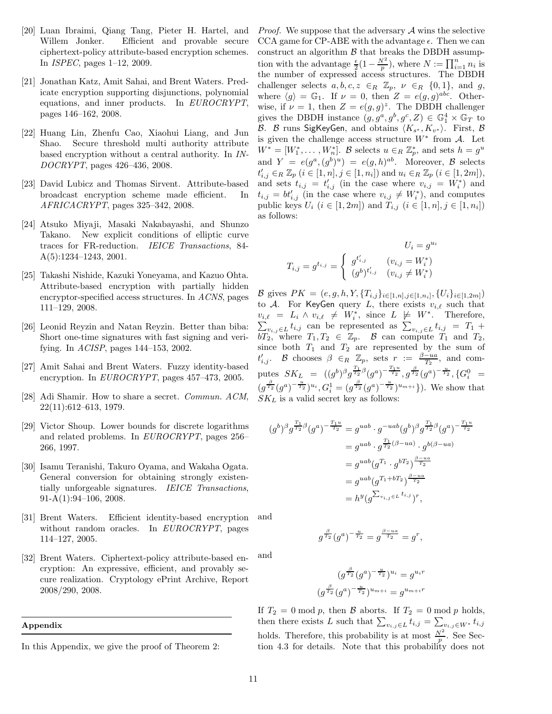- [20] Luan Ibraimi, Qiang Tang, Pieter H. Hartel, and Willem Jonker. Efficient and provable secure ciphertext-policy attribute-based encryption schemes. In *ISPEC*, pages 1–12, 2009.
- [21] Jonathan Katz, Amit Sahai, and Brent Waters. Predicate encryption supporting disjunctions, polynomial equations, and inner products. In *EUROCRYPT*, pages 146–162, 2008.
- [22] Huang Lin, Zhenfu Cao, Xiaohui Liang, and Jun Shao. Secure threshold multi authority attribute based encryption without a central authority. In *IN-DOCRYPT*, pages 426–436, 2008.
- [23] David Lubicz and Thomas Sirvent. Attribute-based broadcast encryption scheme made efficient. In *AFRICACRYPT*, pages 325–342, 2008.
- [24] Atsuko Miyaji, Masaki Nakabayashi, and Shunzo Takano. New explicit conditions of elliptic curve traces for FR-reduction. *IEICE Transactions*, 84- A(5):1234–1243, 2001.
- [25] Takashi Nishide, Kazuki Yoneyama, and Kazuo Ohta. Attribute-based encryption with partially hidden encryptor-specified access structures. In *ACNS*, pages 111–129, 2008.
- [26] Leonid Reyzin and Natan Reyzin. Better than biba: Short one-time signatures with fast signing and verifying. In *ACISP*, pages 144–153, 2002.
- [27] Amit Sahai and Brent Waters. Fuzzy identity-based encryption. In *EUROCRYPT*, pages 457–473, 2005.
- [28] Adi Shamir. How to share a secret. *Commun. ACM*, 22(11):612–613, 1979.
- [29] Victor Shoup. Lower bounds for discrete logarithms and related problems. In *EUROCRYPT*, pages 256– 266, 1997.
- [30] Isamu Teranishi, Takuro Oyama, and Wakaha Ogata. General conversion for obtaining strongly existentially unforgeable signatures. *IEICE Transactions*, 91-A(1):94–106, 2008.
- [31] Brent Waters. Efficient identity-based encryption without random oracles. In *EUROCRYPT*, pages 114–127, 2005. and
- [32] Brent Waters. Ciphertext-policy attribute-based encryption: An expressive, efficient, and provably secure realization. Cryptology ePrint Archive, Report 2008/290, 2008. and

#### **Appendix**

*Proof.* We suppose that the adversary A wins the selective CCA game for CP-ABE with the advantage  $\epsilon$ . Then we can construct an algorithm  $\beta$  that breaks the DBDH assumption with the advantage  $\frac{\epsilon}{2}(1-\frac{N^2}{p})$ , where  $N := \prod_{i=1}^n n_i$  is<br>the number of expressed access structures. The DBDH challenger selects  $a, b, c, z \in_R \mathbb{Z}_p$ ,  $\nu \in_R \{0, 1\}$ , and  $g$ , where  $\langle g \rangle = \mathbb{G}_1$ . If  $\nu = 0$ , then  $Z = e(g, g)^{abc}$ . Otherwise, if  $\nu = 1$ , then  $Z = e(g, g)^z$ . The DBDH challenger gives the DBDH instance  $(g, g^a, g^b, g^c, Z) \in \mathbb{G}_1^4 \times \mathbb{G}_T$  to  $B$  where  $\text{Sink}(g^c, g^a, g^b, g^c, Z) \in \mathbb{F}_1^{\text{inst}}$ B. B runs SigKeyGen, and obtains  $\langle K_{s^*}, K_{v^*} \rangle$ . First, B<br>is given the challenge access structure  $W^*$  from A. Let is given the challenge access structure  $W^*$  from  $\mathcal{A}$ . Let  $W^* = [W_1^*, \dots, W_n^*]$ . B selects  $u \in_R \mathbb{Z}_p^*$ , and sets  $h = g^u$ and  $Y = e(g^a, (g^b)^u) = e(g, h)^{ab}$ . Moreover,  $\beta$  selects  $t'_{i,j} \in_R \mathbb{Z}_p \ (i \in [1,n], j \in [1,n_i])$  and  $u_i \in_R \mathbb{Z}_p \ (i \in [1,2m]),$ <br>and sets  $t_{i,j} = t'$  (in the case where  $v_{i,j} = W^*$ ) and and sets  $t_{i,j} = t'_{i,j}$  (in the case where  $v_{i,j} = W_i^*$ ) and<br> $t_{i,j} = bt'$  (in the case where  $v_{i,j} \neq W_i^*$ ) and computes  $t_{i,j} = bt'_{i,j}$  (in the case where  $v_{i,j} \neq W_i^*$ ), and computes<br>public kays *U*,  $(i \in [1, 2m])$  and *T*,  $(i \in [1, n], i \in [1, n])$ public keys  $U_i$   $(i \in [1, 2m])$  and  $T_{i,j}$   $(i \in [1, n], j \in [1, n_i])$ as follows:

$$
U_i = g^{u_i}
$$

$$
T_{i,j} = g^{t_{i,j}} = \begin{cases} g^{t'_{i,j}} & (v_{i,j} = W_i^*) \\ (g^b)^{t'_{i,j}} & (v_{i,j} \neq W_i^*) \end{cases}
$$

B gives  $PK = (e, g, h, Y, \{T_{i,j}\}_{i \in [1,n], j \in [1,n_i]}, \{U_i\}_{i \in [1,2m]})$ to A. For KeyGen query L, there exists  $v_{i,\ell}$  such that  $v_{i,\ell} = L_i \wedge v_{i,\ell} \neq W_i^*$ , since  $L \not\models W^*$ . Therefore,  $\sum_{v_{i,j}\in L} t_{i,j}$  can be represented as  $\sum_{v_{i,j}\in L} t_{i,j} = T_1 +$ bT<sub>2</sub>, where  $T_1, T_2 \in \mathbb{Z}_p$ . B can compute  $T_1$  and  $T_2$ , since both  $T_1$  and  $T_2$  are represented by the sum of  $t'_{i,j}$ . B chooses  $\beta \in_R \mathbb{Z}_p$ , sets  $r := \frac{\beta - u}{T_2}$ , and computes  $SK_L = ((g^b)^\beta g^{\frac{T_1}{T_2} \beta} (g^a)^{-\frac{T_1 u}{T_2}}, g^{\frac{\beta}{T_2}} (g^a)^{-\frac{u}{T_2}}, \{G^0_i =$  $(g^{\frac{\beta}{T_2}}(g^a)^{-\frac{u}{T_2}})^{u_i}, G_i^1 = (g^{\frac{\beta}{T_2}}(g^a)^{-\frac{u}{T_2}})^{u_{m+i}}\}.$  We show that  $SK_L$  is a valid secret key as follows:

$$
(g^{b})^{\beta} g^{\frac{T_{1}}{T_{2}}\beta} (g^{a})^{-\frac{T_{1}u}{T_{2}}} = g^{uab} \cdot g^{-uab} (g^{b})^{\beta} g^{\frac{T_{1}}{T_{2}}\beta} (g^{a})^{-\frac{T_{1}u}{T_{2}}}
$$
  

$$
= g^{uab} \cdot g^{\frac{T_{1}}{T_{2}}(\beta - ua)} \cdot g^{b(\beta - ua)}
$$
  

$$
= g^{uab} (g^{T_{1}} \cdot g^{bT_{2}})^{\frac{\beta - ua}{T_{2}}}
$$
  

$$
= g^{uab} (g^{T_{1} + bT_{2}})^{\frac{\beta - ua}{T_{2}}}
$$
  

$$
= h^{y} (g^{\sum_{v_{i,j} \in L} t_{i,j}})^{r},
$$

 $g^{\frac{\beta}{T_2}}(g^a)^{-\frac{u}{T_2}}=g^{\frac{\beta-u a}{T_2}}=g^r,$ 

$$
(g^{\frac{\beta}{T_2}}(g^a)^{-\frac{u}{T_2}})^{u_i} = g^{u_i r}
$$

$$
(g^{\frac{\beta}{T_2}}(g^a)^{-\frac{u}{T_2}})^{u_{m+i}} = g^{u_{m+i}r}
$$

If  $T_2 = 0 \mod p$ , then B aborts. If  $T_2 = 0 \mod p$  holds, then there exists L such that  $\sum_{v_{i,j}\in L} t_{i,j} = \sum_{v_{i,j}\in W^*} t_{i,j}$ holds. Therefore, this probability is at most  $\frac{N^2}{p}$ . See Section 4.3 for details. Note that this probability does not tion 4.3 for details. Note that this probability does not

In this Appendix, we give the proof of Theorem 2: